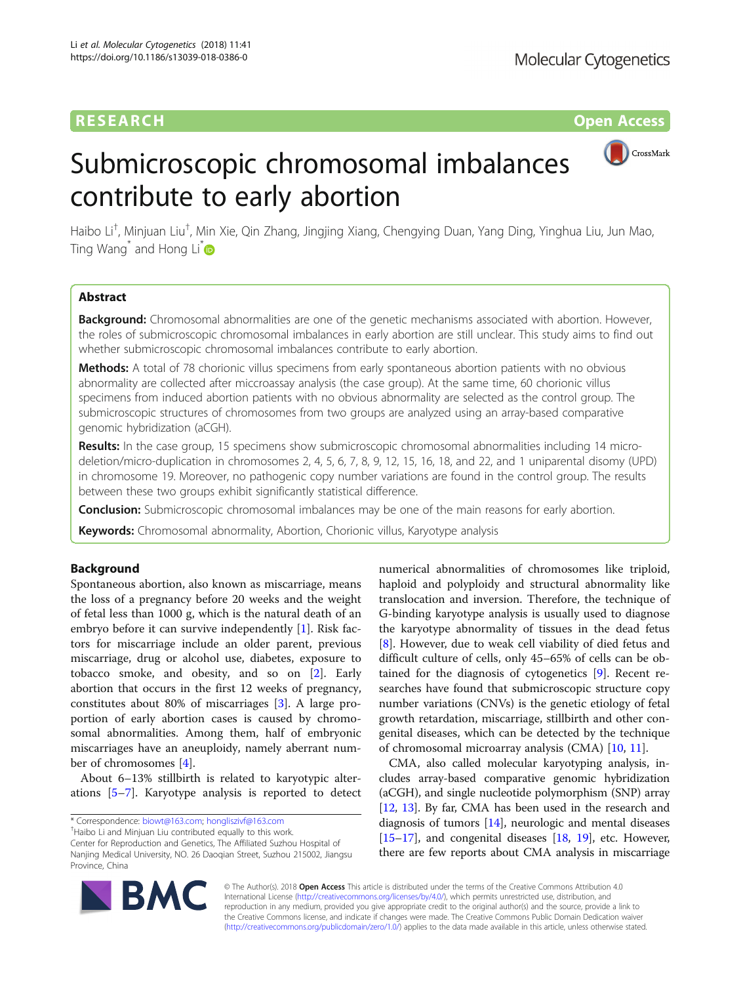## **RESEARCH CHINESE ARCH CHINESE ARCH CHINESE ARCH**



# Submicroscopic chromosomal imbalances contribute to early abortion

Haibo Li<sup>†</sup>, Minjuan Liu<sup>†</sup>, Min Xie, Qin Zhang, Jingjing Xiang, Chengying Duan, Yang Ding, Yinghua Liu, Jun Mao, Ting Wang<sup>\*</sup> and Hong Li<sup>\*</sup>

## Abstract

Background: Chromosomal abnormalities are one of the genetic mechanisms associated with abortion. However, the roles of submicroscopic chromosomal imbalances in early abortion are still unclear. This study aims to find out whether submicroscopic chromosomal imbalances contribute to early abortion.

**Methods:** A total of 78 chorionic villus specimens from early spontaneous abortion patients with no obvious abnormality are collected after miccroassay analysis (the case group). At the same time, 60 chorionic villus specimens from induced abortion patients with no obvious abnormality are selected as the control group. The submicroscopic structures of chromosomes from two groups are analyzed using an array-based comparative genomic hybridization (aCGH).

Results: In the case group, 15 specimens show submicroscopic chromosomal abnormalities including 14 microdeletion/micro-duplication in chromosomes 2, 4, 5, 6, 7, 8, 9, 12, 15, 16, 18, and 22, and 1 uniparental disomy (UPD) in chromosome 19. Moreover, no pathogenic copy number variations are found in the control group. The results between these two groups exhibit significantly statistical difference.

**Conclusion:** Submicroscopic chromosomal imbalances may be one of the main reasons for early abortion.

Keywords: Chromosomal abnormality, Abortion, Chorionic villus, Karyotype analysis

## Background

Spontaneous abortion, also known as miscarriage, means the loss of a pregnancy before 20 weeks and the weight of fetal less than 1000 g, which is the natural death of an embryo before it can survive independently [[1\]](#page-4-0). Risk factors for miscarriage include an older parent, previous miscarriage, drug or alcohol use, diabetes, exposure to tobacco smoke, and obesity, and so on [\[2](#page-4-0)]. Early abortion that occurs in the first 12 weeks of pregnancy, constitutes about 80% of miscarriages [\[3](#page-4-0)]. A large proportion of early abortion cases is caused by chromosomal abnormalities. Among them, half of embryonic miscarriages have an aneuploidy, namely aberrant number of chromosomes [[4\]](#page-4-0).

About 6–13% stillbirth is related to karyotypic alterations [[5](#page-4-0)–[7\]](#page-4-0). Karyotype analysis is reported to detect

\* Correspondence: [biowt@163.com;](mailto:biowt@163.com) [hongliszivf@163.com](mailto:hongliszivf@163.com) †

Nanjing Medical University, NO. 26 Daoqian Street, Suzhou 215002, Jiangsu Province, China



CMA, also called molecular karyotyping analysis, includes array-based comparative genomic hybridization (aCGH), and single nucleotide polymorphism (SNP) array [[12](#page-4-0), [13\]](#page-4-0). By far, CMA has been used in the research and diagnosis of tumors [\[14\]](#page-4-0), neurologic and mental diseases  $[15–17]$  $[15–17]$  $[15–17]$  $[15–17]$ , and congenital diseases  $[18, 19]$  $[18, 19]$  $[18, 19]$  $[18, 19]$ , etc. However, there are few reports about CMA analysis in miscarriage



© The Author(s). 2018 Open Access This article is distributed under the terms of the Creative Commons Attribution 4.0 International License [\(http://creativecommons.org/licenses/by/4.0/](http://creativecommons.org/licenses/by/4.0/)), which permits unrestricted use, distribution, and reproduction in any medium, provided you give appropriate credit to the original author(s) and the source, provide a link to the Creative Commons license, and indicate if changes were made. The Creative Commons Public Domain Dedication waiver [\(http://creativecommons.org/publicdomain/zero/1.0/](http://creativecommons.org/publicdomain/zero/1.0/)) applies to the data made available in this article, unless otherwise stated.

<sup>&</sup>lt;sup>+</sup>Haibo Li and Minjuan Liu contributed equally to this work Center for Reproduction and Genetics, The Affiliated Suzhou Hospital of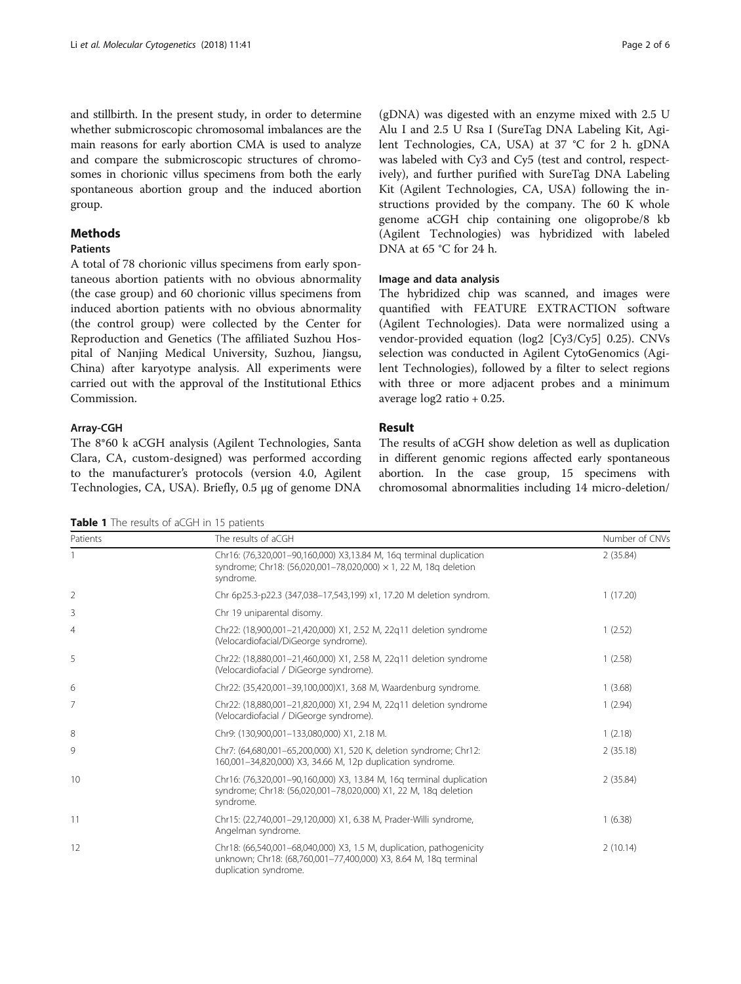<span id="page-1-0"></span>and stillbirth. In the present study, in order to determine whether submicroscopic chromosomal imbalances are the main reasons for early abortion CMA is used to analyze and compare the submicroscopic structures of chromosomes in chorionic villus specimens from both the early spontaneous abortion group and the induced abortion group.

## **Methods**

## Patients

A total of 78 chorionic villus specimens from early spontaneous abortion patients with no obvious abnormality (the case group) and 60 chorionic villus specimens from induced abortion patients with no obvious abnormality (the control group) were collected by the Center for Reproduction and Genetics (The affiliated Suzhou Hospital of Nanjing Medical University, Suzhou, Jiangsu, China) after karyotype analysis. All experiments were carried out with the approval of the Institutional Ethics Commission.

## Array-CGH

The 8\*60 k aCGH analysis (Agilent Technologies, Santa Clara, CA, custom-designed) was performed according to the manufacturer's protocols (version 4.0, Agilent Technologies, CA, USA). Briefly, 0.5 μg of genome DNA

Table 1 The results of aCGH in 15 patients

(gDNA) was digested with an enzyme mixed with 2.5 U Alu I and 2.5 U Rsa I (SureTag DNA Labeling Kit, Agilent Technologies, CA, USA) at 37 °C for 2 h. gDNA was labeled with Cy3 and Cy5 (test and control, respectively), and further purified with SureTag DNA Labeling Kit (Agilent Technologies, CA, USA) following the instructions provided by the company. The 60 K whole genome aCGH chip containing one oligoprobe/8 kb (Agilent Technologies) was hybridized with labeled DNA at 65 °C for 24 h.

## Image and data analysis

The hybridized chip was scanned, and images were quantified with FEATURE EXTRACTION software (Agilent Technologies). Data were normalized using a vendor-provided equation (log2 [Cy3/Cy5] 0.25). CNVs selection was conducted in Agilent CytoGenomics (Agilent Technologies), followed by a filter to select regions with three or more adjacent probes and a minimum average log2 ratio + 0.25.

## Result

The results of aCGH show deletion as well as duplication in different genomic regions affected early spontaneous abortion. In the case group, 15 specimens with chromosomal abnormalities including 14 micro-deletion/

| Patients       | The results of aCGH                                                                                                                                               | Number of CNVs |  |  |  |
|----------------|-------------------------------------------------------------------------------------------------------------------------------------------------------------------|----------------|--|--|--|
|                | Chr16: (76,320,001-90,160,000) X3,13.84 M, 16q terminal duplication<br>syndrome; Chr18: (56,020,001–78,020,000) $\times$ 1, 22 M, 18g deletion<br>syndrome.       | 2(35.84)       |  |  |  |
| $\overline{2}$ | Chr 6p25.3-p22.3 (347,038-17,543,199) x1, 17.20 M deletion syndrom.                                                                                               | 1(17.20)       |  |  |  |
| 3              | Chr 19 uniparental disomy.                                                                                                                                        |                |  |  |  |
| $\overline{4}$ | Chr22: (18,900,001-21,420,000) X1, 2.52 M, 22q11 deletion syndrome<br>(Velocardiofacial/DiGeorge syndrome).                                                       | 1(2.52)        |  |  |  |
| 5              | Chr22: (18,880,001-21,460,000) X1, 2.58 M, 22q11 deletion syndrome<br>(Velocardiofacial / DiGeorge syndrome).                                                     | 1(2.58)        |  |  |  |
| 6              | Chr22: (35,420,001-39,100,000)X1, 3.68 M, Waardenburg syndrome.                                                                                                   | 1(3.68)        |  |  |  |
| $\overline{7}$ | Chr22: (18,880,001-21,820,000) X1, 2.94 M, 22q11 deletion syndrome<br>(Velocardiofacial / DiGeorge syndrome).                                                     | 1(2.94)        |  |  |  |
| 8              | Chr9: (130,900,001-133,080,000) X1, 2.18 M.                                                                                                                       | 1(2.18)        |  |  |  |
| 9              | Chr7: (64,680,001-65,200,000) X1, 520 K, deletion syndrome; Chr12:<br>160,001-34,820,000) X3, 34.66 M, 12p duplication syndrome.                                  | 2(35.18)       |  |  |  |
| 10             | Chr16: (76,320,001-90,160,000) X3, 13.84 M, 16q terminal duplication<br>syndrome; Chr18: (56,020,001-78,020,000) X1, 22 M, 18g deletion<br>syndrome.              | 2(35.84)       |  |  |  |
| 11             | Chr15: (22,740,001-29,120,000) X1, 6.38 M, Prader-Willi syndrome,<br>Angelman syndrome.                                                                           | 1(6.38)        |  |  |  |
| 12             | Chr18: (66,540,001-68,040,000) X3, 1.5 M, duplication, pathogenicity<br>unknown; Chr18: (68,760,001-77,400,000) X3, 8.64 M, 18q terminal<br>duplication syndrome. | 2(10.14)       |  |  |  |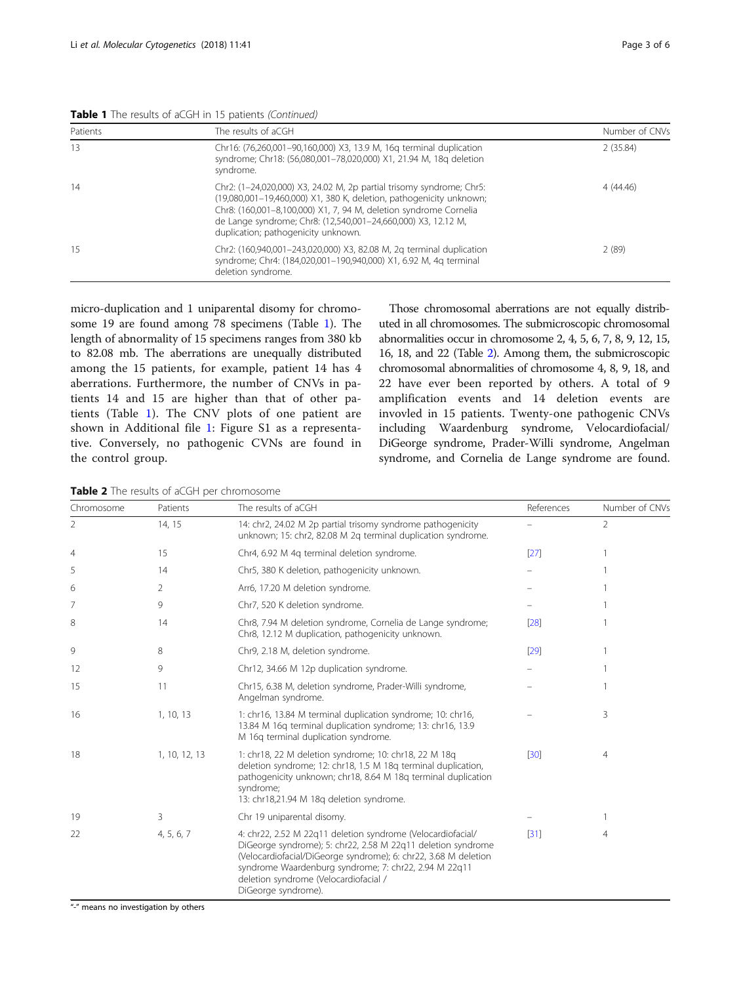Table 1 The results of aCGH in 15 patients (Continued)

| Patients | The results of aCGH                                                                                                                                                                                                                                                                                                      | Number of CNVs<br>2(35.84) |  |
|----------|--------------------------------------------------------------------------------------------------------------------------------------------------------------------------------------------------------------------------------------------------------------------------------------------------------------------------|----------------------------|--|
| 13       | Chr16: (76,260,001-90,160,000) X3, 13.9 M, 16q terminal duplication<br>syndrome; Chr18: (56,080,001-78,020,000) X1, 21.94 M, 18q deletion<br>syndrome.                                                                                                                                                                   |                            |  |
| 14       | Chr2: (1-24,020,000) X3, 24.02 M, 2p partial trisomy syndrome; Chr5:<br>(19,080,001-19,460,000) X1, 380 K, deletion, pathogenicity unknown;<br>Chr8: (160,001-8,100,000) X1, 7, 94 M, deletion syndrome Cornelia<br>de Lange syndrome; Chr8: (12,540,001-24,660,000) X3, 12.12 M,<br>duplication; pathogenicity unknown. | 4(44.46)                   |  |
| 15       | Chr2: (160,940,001-243,020,000) X3, 82.08 M, 2q terminal duplication<br>syndrome; Chr4: (184,020,001-190,940,000) X1, 6.92 M, 4q terminal<br>deletion syndrome.                                                                                                                                                          | 2(89)                      |  |

micro-duplication and 1 uniparental disomy for chromosome 19 are found among 78 specimens (Table [1](#page-1-0)). The length of abnormality of 15 specimens ranges from 380 kb to 82.08 mb. The aberrations are unequally distributed among the 15 patients, for example, patient 14 has 4 aberrations. Furthermore, the number of CNVs in patients 14 and 15 are higher than that of other patients (Table [1](#page-1-0)). The CNV plots of one patient are shown in Additional file [1:](#page-4-0) Figure S1 as a representative. Conversely, no pathogenic CVNs are found in the control group.

Those chromosomal aberrations are not equally distributed in all chromosomes. The submicroscopic chromosomal abnormalities occur in chromosome 2, 4, 5, 6, 7, 8, 9, 12, 15, 16, 18, and 22 (Table 2). Among them, the submicroscopic chromosomal abnormalities of chromosome 4, 8, 9, 18, and 22 have ever been reported by others. A total of 9 amplification events and 14 deletion events are invovled in 15 patients. Twenty-one pathogenic CNVs including Waardenburg syndrome, Velocardiofacial/ DiGeorge syndrome, Prader-Willi syndrome, Angelman syndrome, and Cornelia de Lange syndrome are found.

Table 2 The results of aCGH per chromosome

| Chromosome     | Patients      | The results of aCGH                                                                                                                                                                                                                                                                                                     | References | Number of CNVs |
|----------------|---------------|-------------------------------------------------------------------------------------------------------------------------------------------------------------------------------------------------------------------------------------------------------------------------------------------------------------------------|------------|----------------|
| 2              | 14, 15        | 14: chr2, 24.02 M 2p partial trisomy syndrome pathogenicity<br>unknown; 15: chr2, 82.08 M 2q terminal duplication syndrome.                                                                                                                                                                                             |            | 2              |
| $\overline{4}$ | 15            | Chr4, 6.92 M 4q terminal deletion syndrome.                                                                                                                                                                                                                                                                             | $[27]$     |                |
| 5              | 14            | Chr5, 380 K deletion, pathogenicity unknown.                                                                                                                                                                                                                                                                            |            |                |
| 6              | 2             | Arr6, 17.20 M deletion syndrome.                                                                                                                                                                                                                                                                                        |            |                |
| 7              | 9             | Chr7, 520 K deletion syndrome.                                                                                                                                                                                                                                                                                          |            |                |
| 8              | 14            | Chr8, 7.94 M deletion syndrome, Cornelia de Lange syndrome;<br>Chr8, 12.12 M duplication, pathogenicity unknown.                                                                                                                                                                                                        | [28]       |                |
| 9              | 8             | Chr9, 2.18 M, deletion syndrome.                                                                                                                                                                                                                                                                                        | [29]       |                |
| 12             | 9             | Chr12, 34.66 M 12p duplication syndrome.                                                                                                                                                                                                                                                                                |            |                |
| 15             | 11            | Chr15, 6.38 M, deletion syndrome, Prader-Willi syndrome,<br>Angelman syndrome.                                                                                                                                                                                                                                          |            |                |
| 16             | 1, 10, 13     | 1: chr16, 13.84 M terminal duplication syndrome; 10: chr16,<br>13.84 M 16g terminal duplication syndrome; 13: chr16, 13.9<br>M 16g terminal duplication syndrome.                                                                                                                                                       |            | 3              |
| 18             | 1, 10, 12, 13 | 1: chr18, 22 M deletion syndrome; 10: chr18, 22 M 18q<br>deletion syndrome; 12: chr18, 1.5 M 18q terminal duplication,<br>pathogenicity unknown; chr18, 8.64 M 18g terminal duplication<br>syndrome;<br>13: chr18,21.94 M 18q deletion syndrome.                                                                        | [30]       | $\overline{4}$ |
| 19             | 3             | Chr 19 uniparental disomy.                                                                                                                                                                                                                                                                                              |            |                |
| 22             | 4, 5, 6, 7    | 4: chr22, 2.52 M 22q11 deletion syndrome (Velocardiofacial/<br>DiGeorge syndrome); 5: chr22, 2.58 M 22q11 deletion syndrome<br>(Velocardiofacial/DiGeorge syndrome); 6: chr22, 3.68 M deletion<br>syndrome Waardenburg syndrome; 7: chr22, 2.94 M 22q11<br>deletion syndrome (Velocardiofacial /<br>DiGeorge syndrome). | $[31]$     | $\overline{4}$ |

"-" means no investigation by others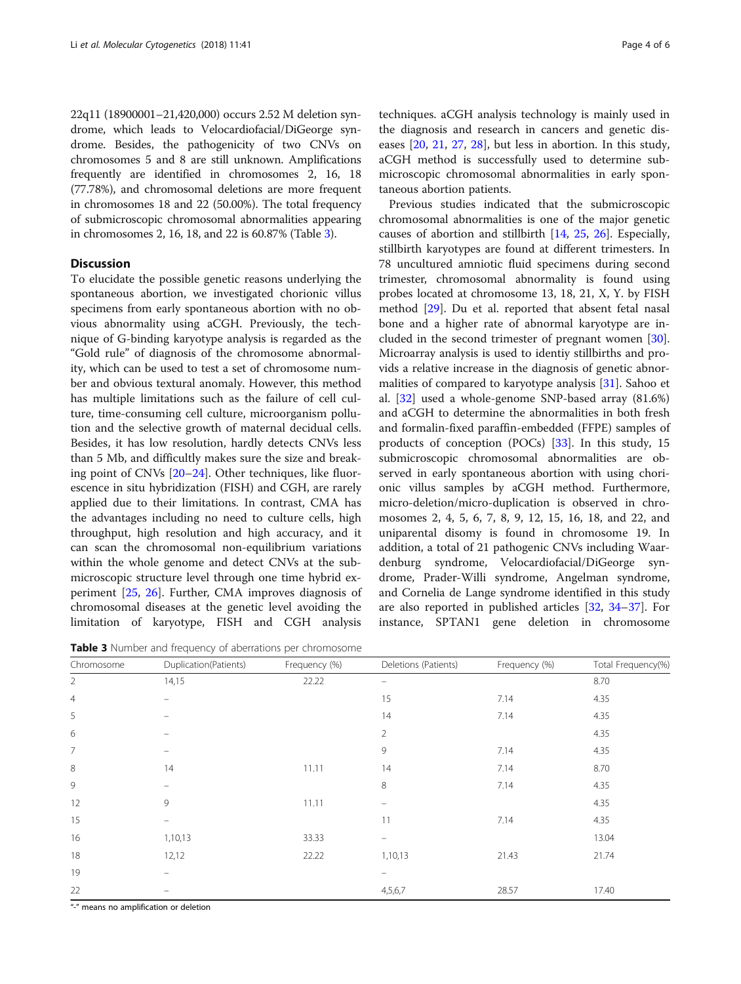22q11 (18900001–21,420,000) occurs 2.52 M deletion syndrome, which leads to Velocardiofacial/DiGeorge syndrome. Besides, the pathogenicity of two CNVs on chromosomes 5 and 8 are still unknown. Amplifications frequently are identified in chromosomes 2, 16, 18 (77.78%), and chromosomal deletions are more frequent in chromosomes 18 and 22 (50.00%). The total frequency of submicroscopic chromosomal abnormalities appearing in chromosomes 2, 16, 18, and 22 is 60.87% (Table 3).

## **Discussion**

To elucidate the possible genetic reasons underlying the spontaneous abortion, we investigated chorionic villus specimens from early spontaneous abortion with no obvious abnormality using aCGH. Previously, the technique of G-binding karyotype analysis is regarded as the "Gold rule" of diagnosis of the chromosome abnormality, which can be used to test a set of chromosome number and obvious textural anomaly. However, this method has multiple limitations such as the failure of cell culture, time-consuming cell culture, microorganism pollution and the selective growth of maternal decidual cells. Besides, it has low resolution, hardly detects CNVs less than 5 Mb, and difficultly makes sure the size and breaking point of CNVs [[20](#page-5-0)–[24](#page-5-0)]. Other techniques, like fluorescence in situ hybridization (FISH) and CGH, are rarely applied due to their limitations. In contrast, CMA has the advantages including no need to culture cells, high throughput, high resolution and high accuracy, and it can scan the chromosomal non-equilibrium variations within the whole genome and detect CNVs at the submicroscopic structure level through one time hybrid experiment [[25,](#page-5-0) [26\]](#page-5-0). Further, CMA improves diagnosis of chromosomal diseases at the genetic level avoiding the limitation of karyotype, FISH and CGH analysis

Table 3 Number and frequency of aberrations per chromosome

techniques. aCGH analysis technology is mainly used in the diagnosis and research in cancers and genetic diseases [\[20](#page-5-0), [21,](#page-5-0) [27,](#page-5-0) [28](#page-5-0)], but less in abortion. In this study, aCGH method is successfully used to determine submicroscopic chromosomal abnormalities in early spontaneous abortion patients.

Previous studies indicated that the submicroscopic chromosomal abnormalities is one of the major genetic causes of abortion and stillbirth [[14](#page-4-0), [25](#page-5-0), [26](#page-5-0)]. Especially, stillbirth karyotypes are found at different trimesters. In 78 uncultured amniotic fluid specimens during second trimester, chromosomal abnormality is found using probes located at chromosome 13, 18, 21, X, Y. by FISH method [[29\]](#page-5-0). Du et al. reported that absent fetal nasal bone and a higher rate of abnormal karyotype are included in the second trimester of pregnant women [\[30](#page-5-0)]. Microarray analysis is used to identiy stillbirths and provids a relative increase in the diagnosis of genetic abnormalities of compared to karyotype analysis [[31\]](#page-5-0). Sahoo et al. [\[32](#page-5-0)] used a whole-genome SNP-based array (81.6%) and aCGH to determine the abnormalities in both fresh and formalin-fixed paraffin-embedded (FFPE) samples of products of conception (POCs) [[33](#page-5-0)]. In this study, 15 submicroscopic chromosomal abnormalities are observed in early spontaneous abortion with using chorionic villus samples by aCGH method. Furthermore, micro-deletion/micro-duplication is observed in chromosomes 2, 4, 5, 6, 7, 8, 9, 12, 15, 16, 18, and 22, and uniparental disomy is found in chromosome 19. In addition, a total of 21 pathogenic CNVs including Waardenburg syndrome, Velocardiofacial/DiGeorge syndrome, Prader-Willi syndrome, Angelman syndrome, and Cornelia de Lange syndrome identified in this study are also reported in published articles [\[32](#page-5-0), [34](#page-5-0)–[37](#page-5-0)]. For instance, SPTAN1 gene deletion in chromosome

| Chromosome     | Duplication(Patients) | Frequency (%) | Deletions (Patients)     | Frequency (%) | Total Frequency(%) |
|----------------|-----------------------|---------------|--------------------------|---------------|--------------------|
| $\overline{2}$ | 14,15                 | 22.22         | $\equiv$                 |               | 8.70               |
| $\overline{4}$ |                       |               | 15                       | 7.14          | 4.35               |
| 5              | $\equiv$              |               | 14                       | 7.14          | 4.35               |
| 6              | $\equiv$              |               | $\overline{2}$           |               | 4.35               |
| $\overline{7}$ |                       |               | 9                        | 7.14          | 4.35               |
| 8              | 14                    | 11.11         | 14                       | 7.14          | 8.70               |
| 9              | $\equiv$              |               | 8                        | 7.14          | 4.35               |
| 12             | 9                     | 11.11         | $\overline{\phantom{m}}$ |               | 4.35               |
| 15             | $\equiv$              |               | 11                       | 7.14          | 4.35               |
| 16             | 1,10,13               | 33.33         | -                        |               | 13.04              |
| 18             | 12,12                 | 22.22         | 1,10,13                  | 21.43         | 21.74              |
| 19             | -                     |               | $\overline{\phantom{m}}$ |               |                    |
| 22             |                       |               | 4,5,6,7                  | 28.57         | 17.40              |
|                |                       |               |                          |               |                    |

"-" means no amplification or deletion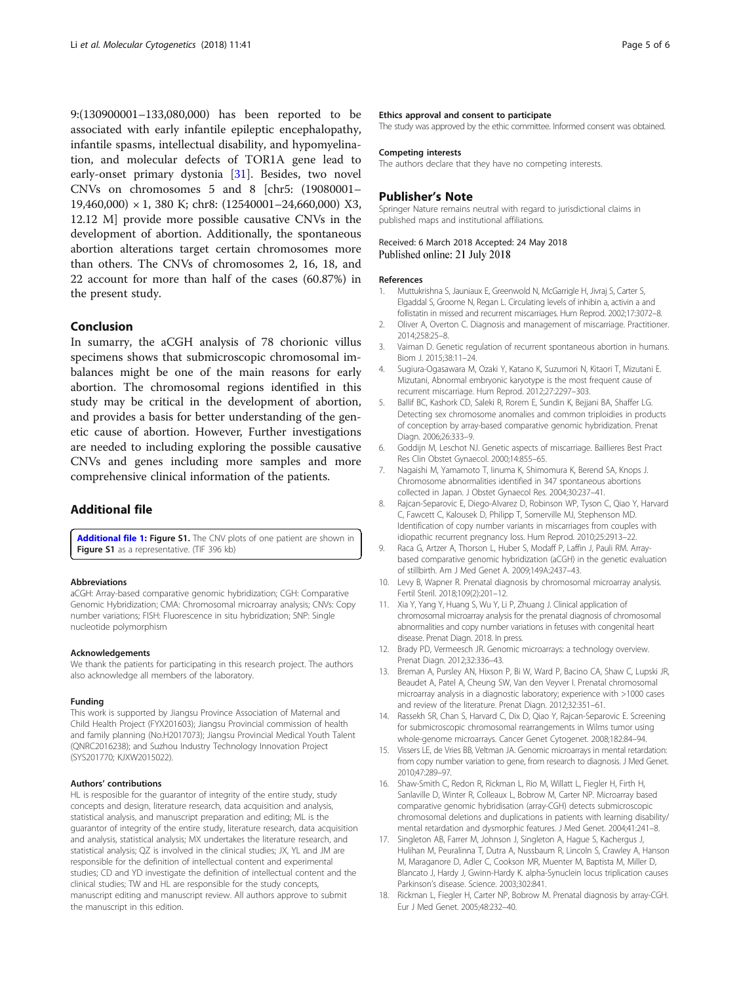<span id="page-4-0"></span>9:(130900001–133,080,000) has been reported to be associated with early infantile epileptic encephalopathy, infantile spasms, intellectual disability, and hypomyelination, and molecular defects of TOR1A gene lead to early-onset primary dystonia [\[31](#page-5-0)]. Besides, two novel CNVs on chromosomes 5 and 8 [chr5: (19080001– 19,460,000) × 1, 380 K; chr8: (12540001–24,660,000) X3, 12.12 M] provide more possible causative CNVs in the development of abortion. Additionally, the spontaneous abortion alterations target certain chromosomes more than others. The CNVs of chromosomes 2, 16, 18, and 22 account for more than half of the cases (60.87%) in the present study.

## Conclusion

In sumarry, the aCGH analysis of 78 chorionic villus specimens shows that submicroscopic chromosomal imbalances might be one of the main reasons for early abortion. The chromosomal regions identified in this study may be critical in the development of abortion, and provides a basis for better understanding of the genetic cause of abortion. However, Further investigations are needed to including exploring the possible causative CNVs and genes including more samples and more comprehensive clinical information of the patients.

## Additional file

[Additional file 1:](https://doi.org/10.1186/s13039-018-0386-0) Figure S1. The CNV plots of one patient are shown in Figure S1 as a representative. (TIF 396 kb)

#### Abbreviations

aCGH: Array-based comparative genomic hybridization; CGH: Comparative Genomic Hybridization; CMA: Chromosomal microarray analysis; CNVs: Copy number variations; FISH: Fluorescence in situ hybridization; SNP: Single nucleotide polymorphism

#### Acknowledgements

We thank the patients for participating in this research project. The authors also acknowledge all members of the laboratory.

#### Funding

This work is supported by Jiangsu Province Association of Maternal and Child Health Project (FYX201603); Jiangsu Provincial commission of health and family planning (No.H2017073); Jiangsu Provincial Medical Youth Talent (QNRC2016238); and Suzhou Industry Technology Innovation Project (SYS201770; KJXW2015022).

#### Authors' contributions

HL is resposible for the guarantor of integrity of the entire study, study concepts and design, literature research, data acquisition and analysis, statistical analysis, and manuscript preparation and editing; ML is the guarantor of integrity of the entire study, literature research, data acquisition and analysis, statistical analysis; MX undertakes the literature research, and statistical analysis; QZ is involved in the clinical studies; JX, YL and JM are responsible for the definition of intellectual content and experimental studies; CD and YD investigate the definition of intellectual content and the clinical studies; TW and HL are responsible for the study concepts, manuscript editing and manuscript review. All authors approve to submit the manuscript in this edition.

#### Ethics approval and consent to participate

The study was approved by the ethic committee. Informed consent was obtained.

#### Competing interests

The authors declare that they have no competing interests.

## Publisher's Note

Springer Nature remains neutral with regard to jurisdictional claims in published maps and institutional affiliations.

Received: 6 March 2018 Accepted: 24 May 2018 Published online: 21 July 2018

#### References

- 1. Muttukrishna S, Jauniaux E, Greenwold N, McGarrigle H, Jivraj S, Carter S, Elgaddal S, Groome N, Regan L. Circulating levels of inhibin a, activin a and follistatin in missed and recurrent miscarriages. Hum Reprod. 2002;17:3072–8.
- 2. Oliver A, Overton C. Diagnosis and management of miscarriage. Practitioner. 2014;258:25–8.
- 3. Vaiman D. Genetic regulation of recurrent spontaneous abortion in humans. Biom J. 2015;38:11–24.
- 4. Sugiura-Ogasawara M, Ozaki Y, Katano K, Suzumori N, Kitaori T, Mizutani E. Mizutani, Abnormal embryonic karyotype is the most frequent cause of recurrent miscarriage. Hum Reprod. 2012;27:2297–303.
- 5. Ballif BC, Kashork CD, Saleki R, Rorem E, Sundin K, Bejjani BA, Shaffer LG. Detecting sex chromosome anomalies and common triploidies in products of conception by array-based comparative genomic hybridization. Prenat Diagn. 2006;26:333–9.
- 6. Goddijn M, Leschot NJ. Genetic aspects of miscarriage. Baillieres Best Pract Res Clin Obstet Gynaecol. 2000;14:855–65.
- 7. Nagaishi M, Yamamoto T, Iinuma K, Shimomura K, Berend SA, Knops J. Chromosome abnormalities identified in 347 spontaneous abortions collected in Japan. J Obstet Gynaecol Res. 2004;30:237–41.
- 8. Rajcan-Separovic E, Diego-Alvarez D, Robinson WP, Tyson C, Qiao Y, Harvard C, Fawcett C, Kalousek D, Philipp T, Somerville MJ, Stephenson MD. Identification of copy number variants in miscarriages from couples with idiopathic recurrent pregnancy loss. Hum Reprod. 2010;25:2913–22.
- 9. Raca G, Artzer A, Thorson L, Huber S, Modaff P, Laffin J, Pauli RM. Arraybased comparative genomic hybridization (aCGH) in the genetic evaluation of stillbirth. Am J Med Genet A. 2009;149A:2437–43.
- 10. Levy B, Wapner R. Prenatal diagnosis by chromosomal microarray analysis. Fertil Steril. 2018;109(2):201–12.
- 11. Xia Y, Yang Y, Huang S, Wu Y, Li P, Zhuang J. Clinical application of chromosomal microarray analysis for the prenatal diagnosis of chromosomal abnormalities and copy number variations in fetuses with congenital heart disease. Prenat Diagn. 2018. In press.
- 12. Brady PD, Vermeesch JR. Genomic microarrays: a technology overview. Prenat Diagn. 2012;32:336–43.
- 13. Breman A, Pursley AN, Hixson P, Bi W, Ward P, Bacino CA, Shaw C, Lupski JR, Beaudet A, Patel A, Cheung SW, Van den Veyver I. Prenatal chromosomal microarray analysis in a diagnostic laboratory; experience with >1000 cases and review of the literature. Prenat Diagn. 2012;32:351–61.
- 14. Rassekh SR, Chan S, Harvard C, Dix D, Qiao Y, Rajcan-Separovic E. Screening for submicroscopic chromosomal rearrangements in Wilms tumor using whole-genome microarrays. Cancer Genet Cytogenet. 2008;182:84–94.
- 15. Vissers LE, de Vries BB, Veltman JA. Genomic microarrays in mental retardation: from copy number variation to gene, from research to diagnosis. J Med Genet. 2010;47:289–97.
- 16. Shaw-Smith C, Redon R, Rickman L, Rio M, Willatt L, Fiegler H, Firth H, Sanlaville D, Winter R, Colleaux L, Bobrow M, Carter NP. Microarray based comparative genomic hybridisation (array-CGH) detects submicroscopic chromosomal deletions and duplications in patients with learning disability/ mental retardation and dysmorphic features. J Med Genet. 2004;41:241–8.
- 17. Singleton AB, Farrer M, Johnson J, Singleton A, Hague S, Kachergus J, Hulihan M, Peuralinna T, Dutra A, Nussbaum R, Lincoln S, Crawley A, Hanson M, Maraganore D, Adler C, Cookson MR, Muenter M, Baptista M, Miller D, Blancato J, Hardy J, Gwinn-Hardy K. alpha-Synuclein locus triplication causes Parkinson's disease. Science. 2003;302:841.
- 18. Rickman L, Fiegler H, Carter NP, Bobrow M. Prenatal diagnosis by array-CGH. Eur J Med Genet. 2005;48:232–40.